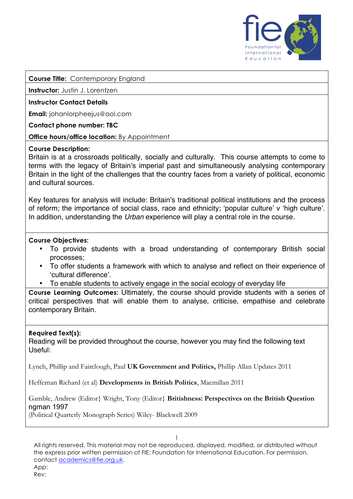

**Course Title:** Contemporary England

**Instructor:** Justin J. Lorentzen

#### **Instructor Contact Details**

**Email:** johanlorpheejus@aol.com

**Contact phone number: TBC**

**Office hours/office location:** By Appointment

#### **Course Description:**

Britain is at a crossroads politically, socially and culturally. This course attempts to come to terms with the legacy of Britain's imperial past and simultaneously analysing contemporary Britain in the light of the challenges that the country faces from a variety of political, economic and cultural sources.

Key features for analysis will include: Britain's traditional political institutions and the process of reform; the importance of social class, race and ethnicity; 'popular culture' v 'high culture'. In addition, understanding the *Urban* experience will play a central role in the course.

#### **Course Objectives:**

- To provide students with a broad understanding of contemporary British social processes;
- To offer students a framework with which to analyse and reflect on their experience of 'cultural difference'.
- To enable students to actively engage in the social ecology of everyday life

**Course Learning Outcomes:** Ultimately, the course should provide students with a series of critical perspectives that will enable them to analyse, criticise, empathise and celebrate contemporary Britain.

#### **Required Text(s):**

Reading will be provided throughout the course, however you may find the following text Useful:

Lynch, Phillip and Fairclough, Paul **UK Government and Politics,** Phillip Allan Updates 2011

Heffernan Richard (et al) **Developments in British Politics**, Macmillan 2011

Gamble, Andrew (Editor} Wright, Tony (Editor} **Britishness: Perspectives on the British Question** ngman 1997

(Political Quarterly Monograph Series) Wiley- Blackwell 2009

1 All rights reserved. This material may not be reproduced, displayed, modified, or distributed without the express prior written permission of FIE: Foundation for International Education. For permission, contact academics@fie.org.uk. App: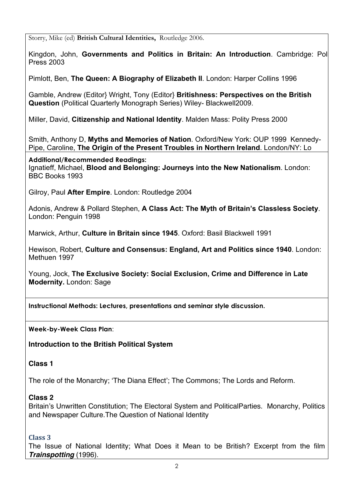Storry, Mike (ed) **British Cultural Identities,** Routledge 2006.

Kingdon, John, Governments and Politics in Britain: An Introduction. Cambridge: Pol Press 2003

Pimlott, Ben, **The Queen: A Biography of Elizabeth II**. London: Harper Collins 1996

Gamble, Andrew (Editor} Wright, Tony (Editor} **Britishness: Perspectives on the British Question** (Political Quarterly Monograph Series) Wiley- Blackwell2009.

Miller, David, **Citizenship and National Identity**. Malden Mass: Polity Press 2000

Smith, Anthony D, **Myths and Memories of Nation**. Oxford/New York: OUP 1999 Kennedy-Pipe, Caroline, **The Origin of the Present Troubles in Northern Ireland**. London/NY: Lo

### **Additional/Recommended Readings:**

Ignatieff, Michael, **Blood and Belonging: Journeys into the New Nationalism**. London: BBC Books 1993

Gilroy, Paul **After Empire**. London: Routledge 2004

Adonis, Andrew & Pollard Stephen, **A Class Act: The Myth of Britain's Classless Society**. London: Penguin 1998

Marwick, Arthur, **Culture in Britain since 1945**. Oxford: Basil Blackwell 1991

Hewison, Robert, **Culture and Consensus: England, Art and Politics since 1940**. London: Methuen 1997

Young, Jock, **The Exclusive Society: Social Exclusion, Crime and Difference in Late Modernity.** London: Sage

**Instructional Methods: Lectures, presentations and seminar style discussion.**

**Week-by-Week Class Plan**:

**Introduction to the British Political System**

# **Class 1**

The role of the Monarchy; 'The Diana Effect'; The Commons; The Lords and Reform.

## **Class 2**

Britain's Unwritten Constitution; The Electoral System and PoliticalParties. Monarchy, Politics and Newspaper Culture.The Question of National Identity

## **Class 3**

The Issue of National Identity; What Does it Mean to be British? Excerpt from the film *Trainspotting* (1996).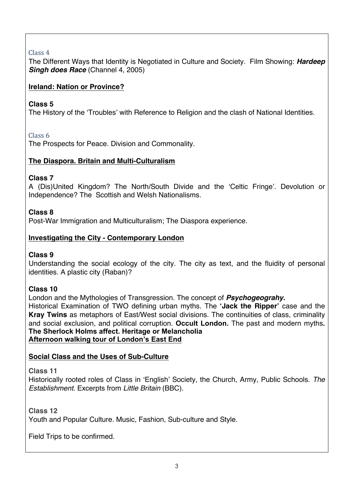# Class<sub>4</sub>

The Different Ways that Identity is Negotiated in Culture and Society. Film Showing: *Hardeep Singh does Race* (Channel 4, 2005)

## **Ireland: Nation or Province?**

## **Class 5**

The History of the 'Troubles' with Reference to Religion and the clash of National Identities.

## Class 6

The Prospects for Peace. Division and Commonality.

## **The Diaspora. Britain and Multi-Culturalism**

## **Class 7**

A (Dis)United Kingdom? The North/South Divide and the 'Celtic Fringe'. Devolution or Independence? The Scottish and Welsh Nationalisms.

# **Class 8**

Post-War Immigration and Multiculturalism; The Diaspora experience.

# **Investigating the City - Contemporary London**

# **Class 9**

Understanding the social ecology of the city. The city as text, and the fluidity of personal identities. A plastic city (Raban)?

# **Class 10**

London and the Mythologies of Transgression. The concept of *Psychogeograhy.* Historical Examination of TWO defining urban myths. The **'Jack the Ripper'** case and the **Kray Twins** as metaphors of East/West social divisions. The continuities of class, criminality and social exclusion, and political corruption. **Occult London.** The past and modern myths**. The Sherlock Holms affect. Heritage or Melancholia Afternoon walking tour of London's East End**

# **Social Class and the Uses of Sub-Culture**

**Class 11**

Historically rooted roles of Class in 'English' Society, the Church, Army, Public Schools. *The Establishment.* Excerpts from *Little Britain* (BBC).

**Class 12** Youth and Popular Culture. Music, Fashion, Sub-culture and Style.

Field Trips to be confirmed.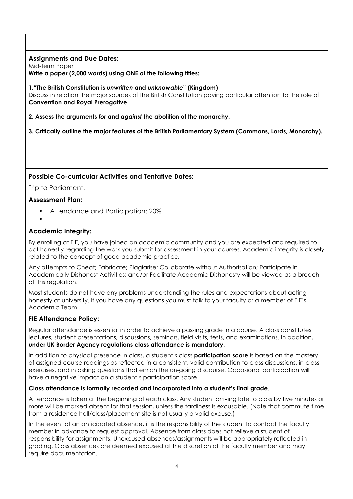### **Assignments and Due Dates:**

Mid-term Paper

**Write a paper (2,000 words) using ONE of the following titles:**

#### **1."The British Constitution is** *unwritten* **and** *unknowable***" (Kingdom)**

Discuss in relation the major sources of the British Constitution paying particular attention to the role of **Convention and Royal Prerogative.**

- **2. Assess the arguments** *for* **and** *against* **the abolition of the monarchy.**
- **3. Critically outline the major features of the British Parliamentary System (Commons, Lords, Monarchy).**

### **Possible Co-curricular Activities and Tentative Dates:**

Trip to Parliament.

### **Assessment Plan:**

- Attendance and Participation: 20%
- •

### **Academic Integrity:**

By enrolling at FIE, you have joined an academic community and you are expected and required to act honestly regarding the work you submit for assessment in your courses. Academic integrity is closely related to the concept of good academic practice.

Any attempts to Cheat; Fabricate; Plagiarise; Collaborate without Authorisation; Participate in Academically Dishonest Activities; and/or Facilitate Academic Dishonesty will be viewed as a breach of this regulation.

Most students do not have any problems understanding the rules and expectations about acting honestly at university. If you have any questions you must talk to your faculty or a member of FIE's Academic Team.

## **FIE Attendance Policy:**

Regular attendance is essential in order to achieve a passing grade in a course. A class constitutes lectures, student presentations, discussions, seminars, field visits, tests, and examinations. In addition, **under UK Border Agency regulations class attendance is mandatory**.

In addition to physical presence in class, a student's class **participation score** is based on the mastery of assigned course readings as reflected in a consistent, valid contribution to class discussions, in-class exercises, and in asking questions that enrich the on-going discourse. Occasional participation will have a negative impact on a student's participation score.

### **Class attendance is formally recorded and incorporated into a student's final grade**.

Attendance is taken at the beginning of each class. Any student arriving late to class by five minutes or more will be marked absent for that session, unless the tardiness is excusable. (Note that commute time from a residence hall/class/placement site is not usually a valid excuse.)

In the event of an anticipated absence, it is the responsibility of the student to contact the faculty member in advance to request approval. Absence from class does not relieve a student of responsibility for assignments. Unexcused absences/assignments will be appropriately reflected in grading. Class absences are deemed excused at the discretion of the faculty member and may require documentation.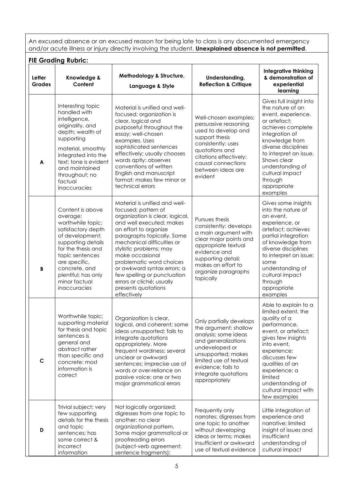An excused absence or an excused reason for being late to class is any documented emergency and/or acute illness or injury directly involving the student. **Unexplained absence is not permitted**.

| Letter<br>Grades | Knowledge &<br>Content                                                                                                                                                                                                                              | Methodology & Structure,<br>Language & Style                                                                                                                                                                                                                                                                                                                                                                        | Understanding,<br><b>Reflection &amp; Critique</b>                                                                                                                                                                               | <b>Integrative thinking</b><br>& demonstration of<br>experiential<br>learning                                                                                                                                                                                                           |
|------------------|-----------------------------------------------------------------------------------------------------------------------------------------------------------------------------------------------------------------------------------------------------|---------------------------------------------------------------------------------------------------------------------------------------------------------------------------------------------------------------------------------------------------------------------------------------------------------------------------------------------------------------------------------------------------------------------|----------------------------------------------------------------------------------------------------------------------------------------------------------------------------------------------------------------------------------|-----------------------------------------------------------------------------------------------------------------------------------------------------------------------------------------------------------------------------------------------------------------------------------------|
| A                | Interesting topic<br>handled with<br>intelligence,<br>originality, and<br>depth; wealth of<br>supporting<br>material, smoothly<br>integrated into the<br>text; tone is evident<br>and maintained<br>throughout; no<br>factual<br>inaccuracies       | Material is unified and well-<br>focused; organization is<br>clear, logical and<br>purposeful throughout the<br>essay; well-chosen<br>examples. Uses<br>sophisticated sentences<br>effectively; usually chooses<br>words aptly; observes<br>conventions of written<br>English and manuscript<br>format; makes few minor or<br>technical errors                                                                      | Well-chosen examples;<br>persuasive reasoning<br>used to develop and<br>support thesis<br>consistently: uses<br>quotations and<br>citations effectively;<br>causal connections<br>between ideas are<br>evident                   | Gives full insight into<br>the nature of an<br>event, experience,<br>or artefact;<br>achieves complete<br>integration of<br>knowledge from<br>diverse disciplines<br>to interpret an issue.<br>Shows clear<br>understanding of<br>cultural impact<br>through<br>appropriate<br>examples |
| B                | Content is above<br>average;<br>worthwhile topic;<br>satisfactory depth<br>of development;<br>supporting details<br>for the thesis and<br>topic sentences<br>are specific,<br>concrete, and<br>plentiful; has only<br>minor factual<br>inaccuracies | Material is unified and well-<br>focused; pattern of<br>organization is clear, logical,<br>and well executed; makes<br>an effort to organize<br>paragraphs topically. Some<br>mechanical difficulties or<br>stylistic problems; may<br>make occasional<br>problematic word choices<br>or awkward syntax errors; a<br>few spelling or punctuation<br>errors or cliché; usually<br>presents quotations<br>effectively | Pursues thesis<br>consistently: develops<br>a main argument with<br>clear major points and<br>appropriate textual<br>evidence and<br>supporting detail;<br>makes an effort to<br>organize paragraphs<br>topically                | Gives some insights<br>into the nature of<br>an event,<br>experience, or<br>artefact; achieves<br>partial integration<br>of knowledge from<br>diverse disciplines<br>to interpret an issue;<br>some<br>understanding of<br>cultural impact<br>through<br>appropriate<br>examples        |
| $\mathbf C$      | Worthwhile topic;<br>supporting material<br>for thesis and topic<br>sentences is<br>general and<br>abstract rather<br>than specific and<br>concrete; most<br>information is<br>correct                                                              | Organization is clear,<br>logical, and coherent; some<br>ideas unsupported; fails to<br>integrate quotations<br>appropriately. More<br>frequent wordiness; several<br>unclear or awkward<br>sentences; imprecise use of<br>words or over-reliance on<br>passive voice; one or two<br>major grammatical errors                                                                                                       | Only partially develops<br>the argument; shallow<br>analysis; some ideas<br>and generalizations<br>undeveloped or<br>unsupported; makes<br>limited use of textual<br>evidence; fails to<br>integrate quotations<br>appropriately | Able to explain to a<br>limited extent, the<br>quality of a<br>performance,<br>event, or artefact;<br>gives few insights<br>into event,<br>experience;<br>discusses few<br>qualities of an<br>experience; a<br>limited<br>understanding of<br>cultural impact with<br>few examples      |
| D                | Trivial subject; very<br>few supporting<br>details for the thesis<br>and topic<br>sentences; has<br>some correct &<br>incorrect<br>information                                                                                                      | Not logically organized;<br>digresses from one topic to<br>another; no clear<br>organizational pattern.<br>Some major grammatical or<br>proofreading errors<br>(subject-verb agreement;<br>sentence fragments);                                                                                                                                                                                                     | Frequently only<br>narrates; digresses from<br>one topic to another<br>without developing<br>ideas or terms; makes<br>insufficient or awkward<br>use of textual evidence                                                         | Little integration of<br>experience and<br>narrative; limited<br>insight of issues and<br>insufficient<br>understanding of<br>cultural impact                                                                                                                                           |